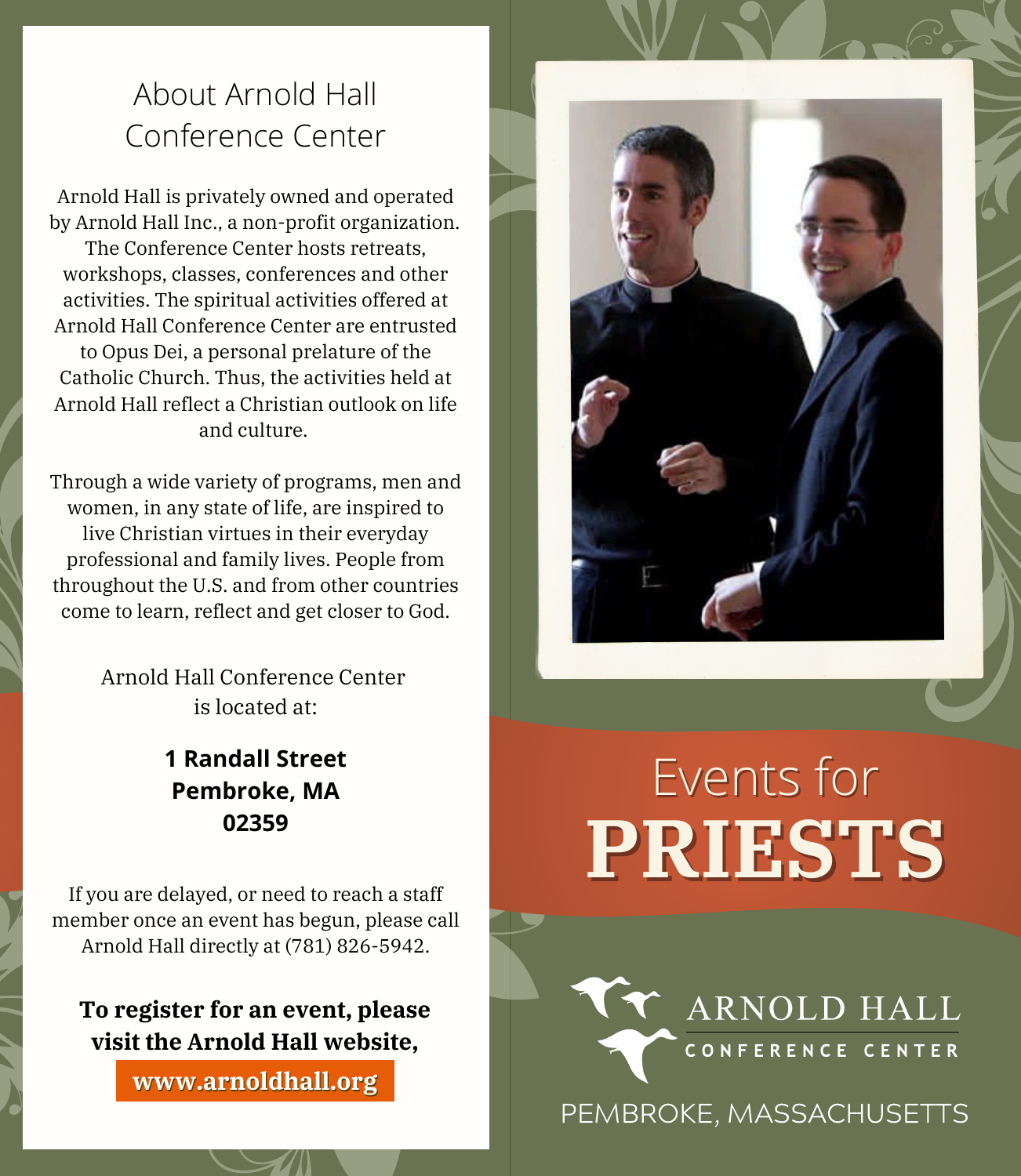### About Arnold Hall Conference Center

Arnold Hall is privately owned and operated by Arnold Hall Inc., a non-profit organization. The Conference Center hosts retreats, workshops, classes, conferences and other activities. The spiritual activities offered at Arnold Hall Conference Center are entrusted to Opus Dei, a personal prelature of the Catholic Church. Thus, the activities held at Arnold Hall reflect a Christian outlook on life and culture.

Through a wide variety of programs, men and women, in any state of life, are inspired to live Christian virtues in their everyday professional and family lives. People from throughout the U.S. and from other countries come to learn, reflect and get closer to God.

> Arnold Hall Conference Center is located at:

> > **1 Randall Street Pembroke, MA 02359**

If you are delayed, or need to reach a staff member once an event has begun, please call Arnold Hall directly at (781) 826-5942.

**To register for an event, please visit the Arnold Hall website,**

www.arnoldhall.org



# **PRIESTS** Events for

**ARNOLD HALL** CONFERENCE CENTER

PEMBROKE, MASSACHUSETTS